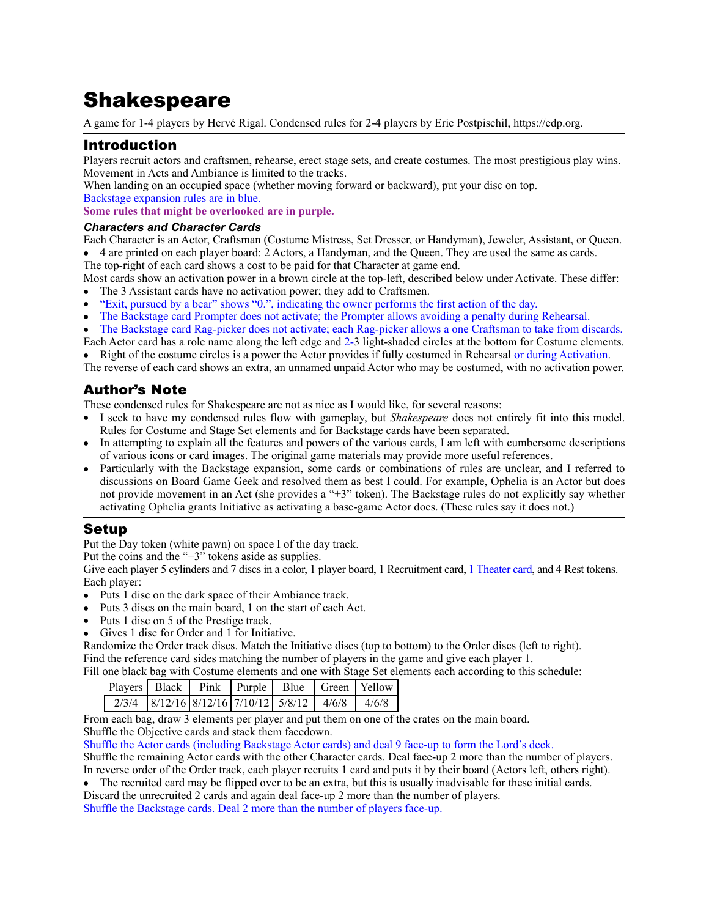# **Shakespeare**

A game for 1-4 players by Hervé Rigal. Condensed rules for 2-4 players by Eric Postpischil, <https://edp.org>.

## Introduction

Players recruit actors and craftsmen, rehearse, erect stage sets, and create costumes. The most prestigious play wins. Movement in Acts and Ambiance is limited to the tracks.

When landing on an occupied space (whether moving forward or backward), put your disc on top.

Backstage expansion rules are in blue.

**Some rules that might be overlooked are in purple.**

#### *Characters and Character Cards*

Each Character is an Actor, Craftsman (Costume Mistress, Set Dresser, or Handyman), Jeweler, Assistant, or Queen.

• 4 are printed on each player board: 2 Actors, a Handyman, and the Queen. They are used the same as cards.

The top-right of each card shows a cost to be paid for that Character at game end. Most cards show an activation power in a brown circle at the top-left, described below under Activate. These differ:

- The 3 Assistant cards have no activation power; they add to Craftsmen.
- "Exit, pursued by a bear" shows "0.", indicating the owner performs the first action of the day.

• The Backstage card Prompter does not activate; the Prompter allows avoiding a penalty during Rehearsal.

• The Backstage card Rag-picker does not activate; each Rag-picker allows a one Craftsman to take from discards.

Each Actor card has a role name along the left edge and 2-3 light-shaded circles at the bottom for Costume elements. • Right of the costume circles is a power the Actor provides if fully costumed in Rehearsal or during Activation.

The reverse of each card shows an extra, an unnamed unpaid Actor who may be costumed, with no activation power.

# Author's Note

These condensed rules for Shakespeare are not as nice as I would like, for several reasons:

- I seek to have my condensed rules flow with gameplay, but *Shakespeare* does not entirely fit into this model. Rules for Costume and Stage Set elements and for Backstage cards have been separated.
- In attempting to explain all the features and powers of the various cards, I am left with cumbersome descriptions of various icons or card images. The original game materials may provide more useful references.
- Particularly with the Backstage expansion, some cards or combinations of rules are unclear, and I referred to discussions on Board Game Geek and resolved them as best I could. For example, Ophelia is an Actor but does not provide movement in an Act (she provides a "+3" token). The Backstage rules do not explicitly say whether activating Ophelia grants Initiative as activating a base-game Actor does. (These rules say it does not.)

## Setup

Put the Day token (white pawn) on space I of the day track.

Put the coins and the "+3" tokens aside as supplies.

Give each player 5 cylinders and 7 discs in a color, 1 player board, 1 Recruitment card, 1 Theater card, and 4 Rest tokens. Each player:

- Puts 1 disc on the dark space of their Ambiance track.
- Puts 3 discs on the main board, 1 on the start of each Act.
- Puts 1 disc on 5 of the Prestige track.
- Gives 1 disc for Order and 1 for Initiative.

Randomize the Order track discs. Match the Initiative discs (top to bottom) to the Order discs (left to right). Find the reference card sides matching the number of players in the game and give each player 1. Fill one black bag with Costume elements and one with Stage Set elements each according to this schedule:

| $\frac{1}{2}$ . The company $\frac{1}{2}$ is the context of the company $\frac{1}{2}$ is the company of $\frac{1}{2}$<br>Players Black Pink Purple Blue Green Yellow |  |                                                    |  |  |  |  |
|----------------------------------------------------------------------------------------------------------------------------------------------------------------------|--|----------------------------------------------------|--|--|--|--|
|                                                                                                                                                                      |  |                                                    |  |  |  |  |
|                                                                                                                                                                      |  | $2/3/4$ 8/12/16 8/12/16 7/10/12 5/8/12 4/6/8 4/6/8 |  |  |  |  |

From each bag, draw 3 elements per player and put them on one of the crates on the main board.

Shuffle the Objective cards and stack them facedown.

Shuffle the Actor cards (including Backstage Actor cards) and deal 9 face-up to form the Lord's deck.

Shuffle the remaining Actor cards with the other Character cards. Deal face-up 2 more than the number of players. In reverse order of the Order track, each player recruits 1 card and puts it by their board (Actors left, others right).

• The recruited card may be flipped over to be an extra, but this is usually inadvisable for these initial cards.

Discard the unrecruited 2 cards and again deal face-up 2 more than the number of players.

Shuffle the Backstage cards. Deal 2 more than the number of players face-up.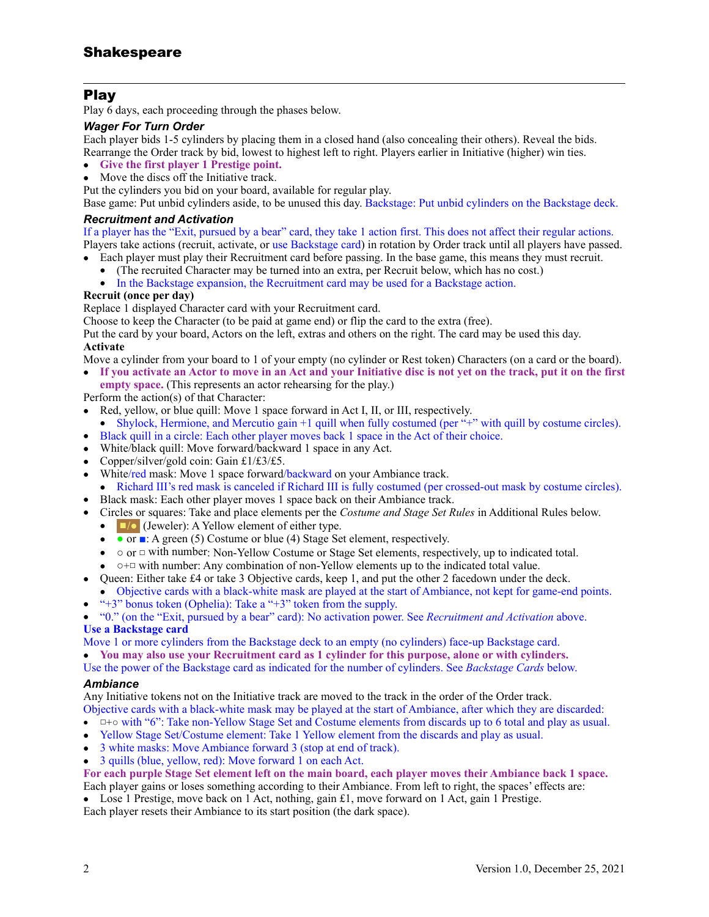## Play

Play 6 days, each proceeding through the phases below.

#### *Wager For Turn Order*

Each player bids 1-5 cylinders by placing them in a closed hand (also concealing their others). Reveal the bids.

Rearrange the Order track by bid, lowest to highest left to right. Players earlier in Initiative (higher) win ties.

- **Give the first player 1 Prestige point.**
- Move the discs off the Initiative track.

Put the cylinders you bid on your board, available for regular play.

Base game: Put unbid cylinders aside, to be unused this day. Backstage: Put unbid cylinders on the Backstage deck.

#### *Recruitment and Activation*

If a player has the "Exit, pursued by a bear" card, they take 1 action first. This does not affect their regular actions. Players take actions (recruit, activate, or use Backstage card) in rotation by Order track until all players have passed.

- Each player must play their Recruitment card before passing. In the base game, this means they must recruit.<br>• (The recruited Character may be turned into an extra. per Recruit below which has no cost)
	- (The recruited Character may be turned into an extra, per Recruit below, which has no cost.)
	- In the Backstage expansion, the Recruitment card may be used for a Backstage action.

#### **Recruit (once per day)**

Replace 1 displayed Character card with your Recruitment card.

Choose to keep the Character (to be paid at game end) or flip the card to the extra (free).

Put the card by your board, Actors on the left, extras and others on the right. The card may be used this day. **Activate** 

Move a cylinder from your board to 1 of your empty (no cylinder or Rest token) Characters (on a card or the board).

• **If you activate an Actor to move in an Act and your Initiative disc is not yet on the track, put it on the first empty space.** (This represents an actor rehearsing for the play.)

Perform the action(s) of that Character:

- Red, yellow, or blue quill: Move 1 space forward in Act I, II, or III, respectively.
- Shylock, Hermione, and Mercutio gain +1 quill when fully costumed (per "+" with quill by costume circles). • Black quill in a circle: Each other player moves back 1 space in the Act of their choice.
- White/black quill: Move forward/backward 1 space in any Act.
- Copper/silver/gold coin: Gain £1/£3/£5.
- White/red mask: Move 1 space forward/backward on your Ambiance track.
- Richard III's red mask is canceled if Richard III is fully costumed (per crossed-out mask by costume circles).
- Black mask: Each other player moves 1 space back on their Ambiance track.
- Circles or squares: Take and place elements per the *Costume and Stage Set Rules* in Additional Rules below.
	- $\Box$  (Jeweler): A Yellow element of either type.
	- or ■: A green (5) Costume or blue (4) Stage Set element, respectively.
	- ○ or □ with number: Non-Yellow Costume or Stage Set elements, respectively, up to indicated total.
	- ○+□ with number: Any combination of non-Yellow elements up to the indicated total value.
- Queen: Either take £4 or take 3 Objective cards, keep 1, and put the other 2 facedown under the deck. • Objective cards with a black-white mask are played at the start of Ambiance, not kept for game-end points.
- "+3" bonus token (Ophelia): Take a "+3" token from the supply.

• "0." (on the "Exit, pursued by a bear" card): No activation power. See *Recruitment and Activation* above.

## **Use a Backstage card**

Move 1 or more cylinders from the Backstage deck to an empty (no cylinders) face-up Backstage card.

• **You may also use your Recruitment card as 1 cylinder for this purpose, alone or with cylinders.**

Use the power of the Backstage card as indicated for the number of cylinders. See *Backstage Cards* below.

#### *Ambiance*

Any Initiative tokens not on the Initiative track are moved to the track in the order of the Order track.

- Objective cards with a black-white mask may be played at the start of Ambiance, after which they are discarded: • □+○ with "6": Take non-Yellow Stage Set and Costume elements from discards up to 6 total and play as usual.
- Yellow Stage Set/Costume element: Take 1 Yellow element from the discards and play as usual.
- 3 white masks: Move Ambiance forward 3 (stop at end of track).
- 3 quills (blue, yellow, red): Move forward 1 on each Act.

**For each purple Stage Set element left on the main board, each player moves their Ambiance back 1 space.**

Each player gains or loses something according to their Ambiance. From left to right, the spaces' effects are:

• Lose 1 Prestige, move back on 1 Act, nothing, gain £1, move forward on 1 Act, gain 1 Prestige.

Each player resets their Ambiance to its start position (the dark space).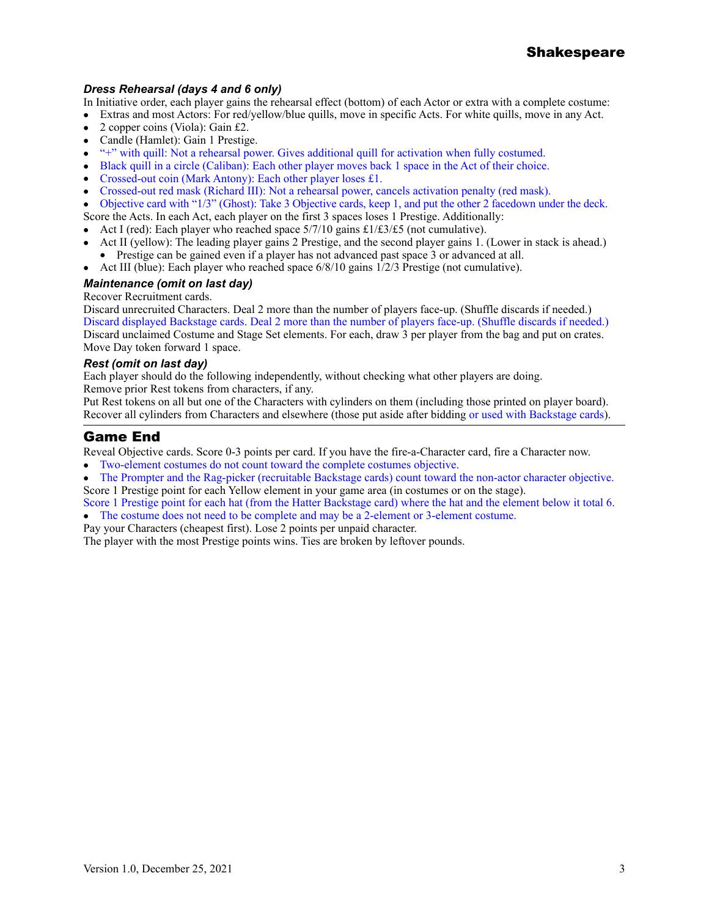### *Dress Rehearsal (days 4 and 6 only)*

In Initiative order, each player gains the rehearsal effect (bottom) of each Actor or extra with a complete costume:

- Extras and most Actors: For red/yellow/blue quills, move in specific Acts. For white quills, move in any Act.
- 2 copper coins (Viola): Gain £2.
- Candle (Hamlet): Gain 1 Prestige.
- "+" with quill: Not a rehearsal power. Gives additional quill for activation when fully costumed.
- Black quill in a circle (Caliban): Each other player moves back 1 space in the Act of their choice.
- Crossed-out coin (Mark Antony): Each other player loses £1.
- Crossed-out red mask (Richard III): Not a rehearsal power, cancels activation penalty (red mask).

• Objective card with "1/3" (Ghost): Take 3 Objective cards, keep 1, and put the other 2 facedown under the deck.

Score the Acts. In each Act, each player on the first 3 spaces loses 1 Prestige. Additionally:

- Act I (red): Each player who reached space  $5/7/10$  gains £1/£3/£5 (not cumulative).
- Act II (yellow): The leading player gains 2 Prestige, and the second player gains 1. (Lower in stack is ahead.)
- Prestige can be gained even if a player has not advanced past space 3 or advanced at all.
- Act III (blue): Each player who reached space  $6/8/10$  gains  $1/2/3$  Prestige (not cumulative).

#### *Maintenance (omit on last day)*

#### Recover Recruitment cards.

Discard unrecruited Characters. Deal 2 more than the number of players face-up. (Shuffle discards if needed.) Discard displayed Backstage cards. Deal 2 more than the number of players face-up. (Shuffle discards if needed.) Discard unclaimed Costume and Stage Set elements. For each, draw 3 per player from the bag and put on crates. Move Day token forward 1 space.

#### *Rest (omit on last day)*

Each player should do the following independently, without checking what other players are doing. Remove prior Rest tokens from characters, if any.

Put Rest tokens on all but one of the Characters with cylinders on them (including those printed on player board). Recover all cylinders from Characters and elsewhere (those put aside after bidding or used with Backstage cards).

## Game End

Reveal Objective cards. Score 0-3 points per card. If you have the fire-a-Character card, fire a Character now.

- Two-element costumes do not count toward the complete costumes objective.
- The Prompter and the Rag-picker (recruitable Backstage cards) count toward the non-actor character objective. Score 1 Prestige point for each Yellow element in your game area (in costumes or on the stage).

Score 1 Prestige point for each hat (from the Hatter Backstage card) where the hat and the element below it total 6. • The costume does not need to be complete and may be a 2-element or 3-element costume.

Pay your Characters (cheapest first). Lose 2 points per unpaid character.

The player with the most Prestige points wins. Ties are broken by leftover pounds.